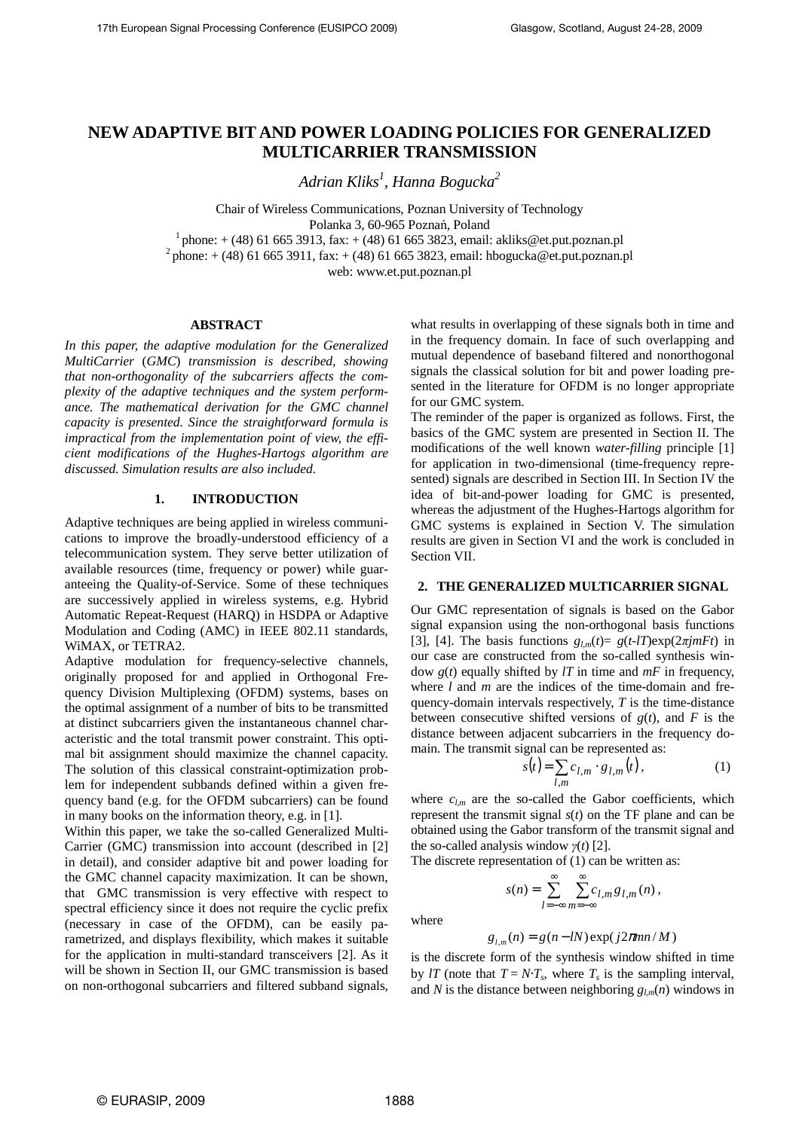# **NEW ADAPTIVE BIT AND POWER LOADING POLICIES FOR GENERALIZED MULTICARRIER TRANSMISSION**

*Adrian Kliks<sup>1</sup> , Hanna Bogucka<sup>2</sup>*

Chair of Wireless Communications, Poznan University of Technology Polanka 3, 60-965 Poznań, Poland  $1$  phone:  $+$  (48) 61 665 3913, fax:  $+$  (48) 61 665 3823, email: akliks@et.put.poznan.pl <sup>2</sup> phone: + (48) 61 665 3911, fax: + (48) 61 665 3823, email: hbogucka@et.put.poznan.pl

web: www.et.put.poznan.pl

### **ABSTRACT**

*In this paper, the adaptive modulation for the Generalized MultiCarrier* (*GMC*) *transmission is described, showing that non-orthogonality of the subcarriers affects the complexity of the adaptive techniques and the system performance. The mathematical derivation for the GMC channel capacity is presented. Since the straightforward formula is impractical from the implementation point of view, the efficient modifications of the Hughes-Hartogs algorithm are discussed. Simulation results are also included.* 

### **1. INTRODUCTION**

Adaptive techniques are being applied in wireless communications to improve the broadly-understood efficiency of a telecommunication system. They serve better utilization of available resources (time, frequency or power) while guaranteeing the Quality-of-Service. Some of these techniques are successively applied in wireless systems, e.g. Hybrid Automatic Repeat-Request (HARQ) in HSDPA or Adaptive Modulation and Coding (AMC) in IEEE 802.11 standards, WiMAX, or TETRA2.

Adaptive modulation for frequency-selective channels, originally proposed for and applied in Orthogonal Frequency Division Multiplexing (OFDM) systems, bases on the optimal assignment of a number of bits to be transmitted at distinct subcarriers given the instantaneous channel characteristic and the total transmit power constraint. This optimal bit assignment should maximize the channel capacity. The solution of this classical constraint-optimization problem for independent subbands defined within a given frequency band (e.g. for the OFDM subcarriers) can be found in many books on the information theory, e.g. in [1].

Within this paper, we take the so-called Generalized Multi-Carrier (GMC) transmission into account (described in [2] in detail), and consider adaptive bit and power loading for the GMC channel capacity maximization. It can be shown, that GMC transmission is very effective with respect to spectral efficiency since it does not require the cyclic prefix (necessary in case of the OFDM), can be easily parametrized, and displays flexibility, which makes it suitable for the application in multi-standard transceivers [2]. As it will be shown in Section II, our GMC transmission is based on non-orthogonal subcarriers and filtered subband signals,

what results in overlapping of these signals both in time and in the frequency domain. In face of such overlapping and mutual dependence of baseband filtered and nonorthogonal signals the classical solution for bit and power loading presented in the literature for OFDM is no longer appropriate for our GMC system.

The reminder of the paper is organized as follows. First, the basics of the GMC system are presented in Section II. The modifications of the well known *water-filling* principle [1] for application in two-dimensional (time-frequency represented) signals are described in Section III. In Section IV the idea of bit-and-power loading for GMC is presented, whereas the adjustment of the Hughes-Hartogs algorithm for GMC systems is explained in Section V. The simulation results are given in Section VI and the work is concluded in Section VII.

#### **2. THE GENERALIZED MULTICARRIER SIGNAL**

Our GMC representation of signals is based on the Gabor signal expansion using the non-orthogonal basis functions [3], [4]. The basis functions  $g_{lm}(t) = g(t-lT) \exp(2\pi j mFt)$  in our case are constructed from the so-called synthesis window *g*(*t*) equally shifted by *lT* in time and *mF* in frequency, where *l* and *m* are the indices of the time-domain and frequency-domain intervals respectively, *T* is the time-distance between consecutive shifted versions of  $g(t)$ , and  $F$  is the distance between adjacent subcarriers in the frequency domain. The transmit signal can be represented as:

$$
s(t) = \sum_{l,m} c_{l,m} \cdot g_{l,m}(t), \qquad (1)
$$

where  $c_{l,m}$  are the so-called the Gabor coefficients, which represent the transmit signal *s*(*t*) on the TF plane and can be obtained using the Gabor transform of the transmit signal and the so-called analysis window *γ*(*t*) [2].

The discrete representation of (1) can be written as:

 $s(n) = \sum_{n=1}^{\infty} \sum_{n=1}^{\infty}$ =−∞ ∞ =−∞ = *l*=−∞ *m*  $s(n) = \sum C_{l,m} g_{l,m}(n),$ 

where

$$
g_{l,m}(n) = g(n-lN) \exp(j2\pi mn/M)
$$

is the discrete form of the synthesis window shifted in time by *lT* (note that  $T = N \cdot T_s$ , where  $T_s$  is the sampling interval, and *N* is the distance between neighboring  $g_{lm}(n)$  windows in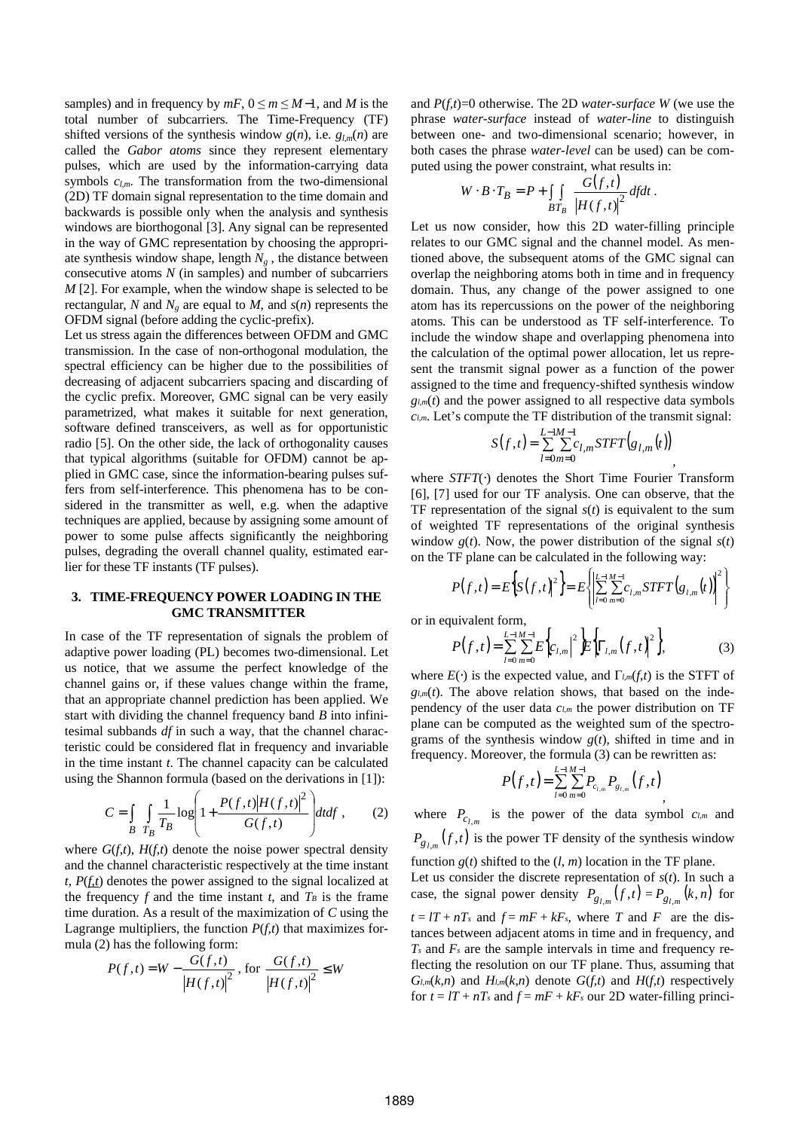samples) and in frequency by  $mF$ ,  $0 \le m \le M-1$ , and M is the total number of subcarriers. The Time-Frequency (TF) shifted versions of the synthesis window  $g(n)$ , i.e.  $g_{lm}(n)$  are called the *Gabor atoms* since they represent elementary pulses, which are used by the information-carrying data symbols  $c_{lm}$ . The transformation from the two-dimensional (2D) TF domain signal representation to the time domain and backwards is possible only when the analysis and synthesis windows are biorthogonal [3]. Any signal can be represented in the way of GMC representation by choosing the appropriate synthesis window shape, length  $N_g$ , the distance between consecutive atoms *N* (in samples) and number of subcarriers *M* [2]. For example, when the window shape is selected to be rectangular, *N* and  $N_e$  are equal to *M*, and  $s(n)$  represents the OFDM signal (before adding the cyclic-prefix).

Let us stress again the differences between OFDM and GMC transmission. In the case of non-orthogonal modulation, the spectral efficiency can be higher due to the possibilities of decreasing of adjacent subcarriers spacing and discarding of the cyclic prefix. Moreover, GMC signal can be very easily parametrized, what makes it suitable for next generation, software defined transceivers, as well as for opportunistic radio [5]. On the other side, the lack of orthogonality causes that typical algorithms (suitable for OFDM) cannot be applied in GMC case, since the information-bearing pulses suffers from self-interference. This phenomena has to be considered in the transmitter as well, e.g. when the adaptive techniques are applied, because by assigning some amount of power to some pulse affects significantly the neighboring pulses, degrading the overall channel quality, estimated earlier for these TF instants (TF pulses).

### **3. TIME-FREQUENCY POWER LOADING IN THE GMC TRANSMITTER**

In case of the TF representation of signals the problem of adaptive power loading (PL) becomes two-dimensional. Let us notice, that we assume the perfect knowledge of the channel gains or, if these values change within the frame, that an appropriate channel prediction has been applied. We start with dividing the channel frequency band *B* into infinitesimal subbands *df* in such a way, that the channel characteristic could be considered flat in frequency and invariable in the time instant *t*. The channel capacity can be calculated using the Shannon formula (based on the derivations in [1]):

$$
C = \int_{B} \int_{T_B} \frac{1}{T_B} \log \left( 1 + \frac{P(f, t) |H(f, t)|^2}{G(f, t)} \right) dt df , \qquad (2)
$$

where  $G(f,t)$ ,  $H(f,t)$  denote the noise power spectral density and the channel characteristic respectively at the time instant  $t$ ,  $P(f_t t)$  denotes the power assigned to the signal localized at the frequency  $f$  and the time instant  $t$ , and  $T_B$  is the frame time duration. As a result of the maximization of *C* using the Lagrange multipliers, the function  $P(f,t)$  that maximizes formula (2) has the following form:

$$
P(f,t) = W - \frac{G(f,t)}{|H(f,t)|^2}, \text{ for } \frac{G(f,t)}{|H(f,t)|^2} \leq W
$$

and *P*(*f,t*)=0 otherwise. The 2D *water-surface W* (we use the phrase *water-surface* instead of *water-line* to distinguish between one- and two-dimensional scenario; however, in both cases the phrase *water-level* can be used) can be computed using the power constraint, what results in:

$$
W \cdot B \cdot T_B = P + \int_{BT_B} \frac{G(f,t)}{|H(f,t)|^2} df dt.
$$

Let us now consider, how this 2D water-filling principle relates to our GMC signal and the channel model. As mentioned above, the subsequent atoms of the GMC signal can overlap the neighboring atoms both in time and in frequency domain. Thus, any change of the power assigned to one atom has its repercussions on the power of the neighboring atoms. This can be understood as TF self-interference. To include the window shape and overlapping phenomena into the calculation of the optimal power allocation, let us represent the transmit signal power as a function of the power assigned to the time and frequency-shifted synthesis window  $g_{l,m}(t)$  and the power assigned to all respective data symbols *cl,m*. Let's compute the TF distribution of the transmit signal:

$$
S(f,t) = \sum_{l=0}^{L=1M-1} \sum_{m=0}^{L} c_{l,m} STFT(g_{l,m}(t))
$$

,

,

where *STFT*(⋅) denotes the Short Time Fourier Transform [6], [7] used for our TF analysis. One can observe, that the TF representation of the signal  $s(t)$  is equivalent to the sum of weighted TF representations of the original synthesis window  $g(t)$ . Now, the power distribution of the signal  $s(t)$ on the TF plane can be calculated in the following way:

$$
P(f,t) = E\big\{S(f,t)\big\}^2 = E\bigg\{ \bigg|\sum_{l=0}^{L-1} \sum_{m=0}^{M-1} c_{l,m} STFT(g_{l,m}(t))\bigg|^2 \bigg\}
$$

or in equivalent form,

$$
P(f,t) = \sum_{l=0}^{L-1} \sum_{m=0}^{M-1} E\left\{c_{l,m} \mid ^{2} E\left\{ \Gamma_{l,m}(f,t) \right\}^{2} \right\},\tag{3}
$$

where  $E(\cdot)$  is the expected value, and  $\Gamma_{lm}(f,t)$  is the STFT of  $g_{l,m}(t)$ . The above relation shows, that based on the independency of the user data *cl,m* the power distribution on TF plane can be computed as the weighted sum of the spectrograms of the synthesis window *g*(*t*), shifted in time and in frequency. Moreover, the formula (3) can be rewritten as:

$$
P(f,t) = \sum_{l=0}^{L-1} \sum_{m=0}^{M-1} P_{c_{l,m}} P_{g_{l,m}}(f,t)
$$

where  $P_{c_{l,m}}$  is the power of the data symbol  $c_{l,m}$  and  $P_{g_{l,m}}(f,t)$  is the power TF density of the synthesis window function  $g(t)$  shifted to the  $(l, m)$  location in the TF plane.

Let us consider the discrete representation of  $s(t)$ . In such a case, the signal power density  $P_{g_{l,m}}(f, t) = P_{g_{l,m}}(k, n)$  for  $t = lT + nT_s$  and  $f = mF + kF_s$ , where *T* and *F* are the distances between adjacent atoms in time and in frequency, and *Ts* and *Fs* are the sample intervals in time and frequency reflecting the resolution on our TF plane. Thus, assuming that  $G_{l,m}(k,n)$  and  $H_{l,m}(k,n)$  denote  $G(f,t)$  and  $H(f,t)$  respectively for  $t = lT + nTs$  and  $f = mF + kFs$  our 2D water-filling princi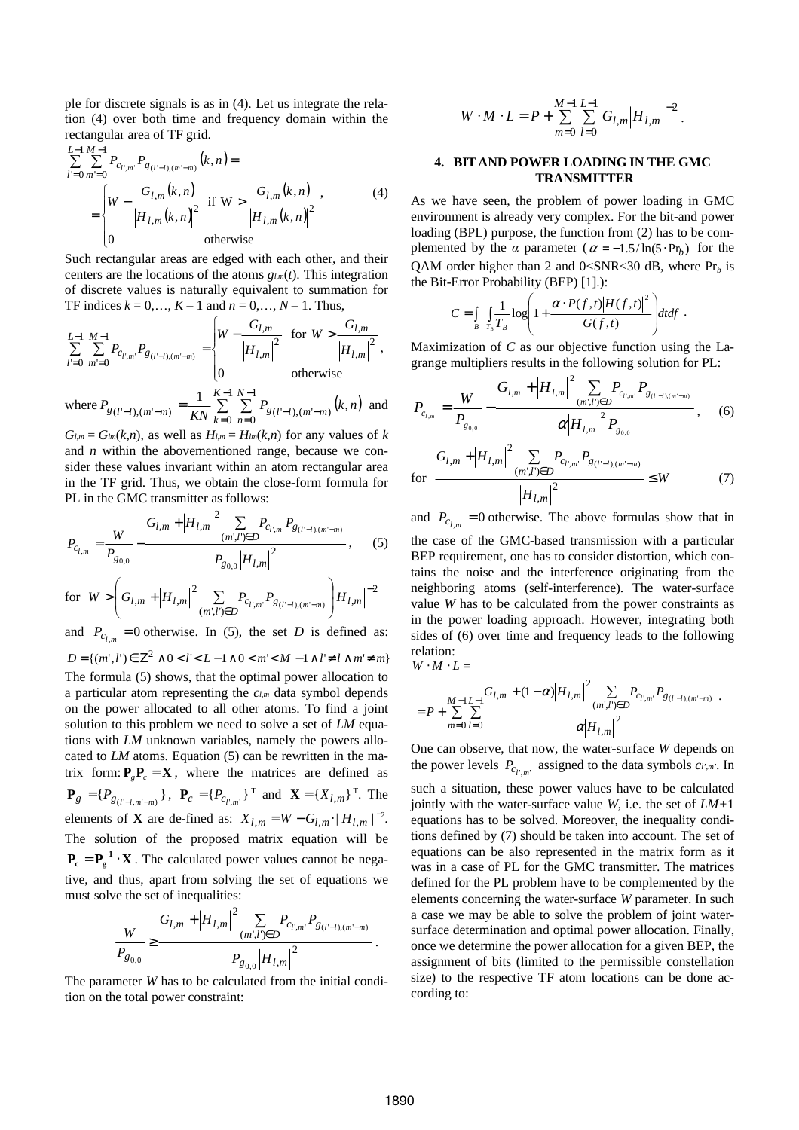ple for discrete signals is as in (4). Let us integrate the relation (4) over both time and frequency domain within the rectangular area of TF grid.

$$
\sum_{l'=0}^{L-1} \sum_{m'=0}^{M-1} P_{c_{l',m'}} P_{g_{(l'-l),(m'-m)}}(k,n) =
$$
\n
$$
= \begin{cases}\nW - \frac{G_{l,m}(k,n)}{|H_{l,m}(k,n)|^2} & \text{if } W > \frac{G_{l,m}(k,n)}{|H_{l,m}(k,n)|^2},\\
0 & \text{otherwise}\n\end{cases}
$$
\n(4)

Such rectangular areas are edged with each other, and their centers are the locations of the atoms *gl,m*(*t*). This integration of discrete values is naturally equivalent to summation for TF indices  $k = 0, ..., K - 1$  and  $n = 0, ..., N - 1$ . Thus,

$$
\sum_{l'=0}^{L-1} \sum_{m'=0}^{M-1} P_{c_{l',m'}} P_{g_{(l'-l),(m'-m)}} = \begin{cases} W - \frac{G_{l,m}}{|H_{l,m}|^2} & \text{for } W > \frac{G_{l,m}}{|H_{l,m}|^2}, \\ 0 & \text{otherwise} \end{cases}
$$
  
where  $P_{g_{(l'-l),(m'-m)}} = \frac{1}{KN} \sum_{k=0}^{K-1} \sum_{n=0}^{N-1} P_{g_{(l'-l),(m'-m)}}(k,n)$  and

 $G_{l,m} = G_{lm}(k,n)$ , as well as  $H_{l,m} = H_{lm}(k,n)$  for any values of *k* and *n* within the abovementioned range, because we consider these values invariant within an atom rectangular area in the TF grid. Thus, we obtain the close-form formula for PL in the GMC transmitter as follows:

$$
P_{c_{l,m}} = \frac{W}{P_{g_{0,0}}} - \frac{G_{l,m} + |H_{l,m}|^2 \sum_{(m',l') \in D} P_{c_{l',m'}} P_{g_{(l'-l),(m'-m)}}}{P_{g_{0,0}} |H_{l,m}|^2}, \quad (5)
$$

for  $W > \left( G_{l,m} + \left| H_{l,m} \right|^2 \sum_{(m',l') \in D} P_{c_{l',m'}} P_{g_{(l'-l),(m'-m)}} \right) \left| H_{l,m} \right|^{-2}$ 2  $, m + |H_{l,m}| \geq C_{l',m'} F_{g_{(l'-l),(m'-m)}}$ −  $\left( E_{l',m'} \bigcup_{l'=l}^{r} F_{l',m'} \bigcap_{l'=l''}^{r} F_{l',m'} \bigcap_{l'=m}^{r} F_{l',m'} \bigcap_{l'=m}^{r} F_{l',m'} \bigcap_{l'=m}^{r} F_{l',m'} \bigcap_{l'=m}^{r} F_{l',m'} \bigcap_{l'=m}^{r} F_{l',m'} \bigcap_{l'=m}^{r} F_{l',m'} \bigcap_{l'=m}^{r} F_{l',m'} \bigcap_{l'=m}^{r} F_{l',m'} \bigcap_{l'=m}^{r} F_{l',m'} \bigcap_{l'=m}^{r} F_{l',m'} \bigcap_{l'=$  $\overline{\phantom{a}}$ J ) L  $\mathsf{I}$ l ſ  $W > \left(G_{l,m} + \left|H_{l,m}\right|^2 \sum_{(m',l')\in D} P_{c_{l',m'}} P_{g_{(l'-l),(m'-m)}}\right) H_{l,m'}$ 

and  $P_{c_{l,m}} = 0$  otherwise. In (5), the set *D* is defined as:  $D = \{(m', l') \in \mathbb{Z}^2 \land 0 < l' < L - 1 \land 0 < m' < M - 1 \land l' \neq l \land m' \neq m\}$ The formula (5) shows, that the optimal power allocation to a particular atom representing the *cl,m* data symbol depends on the power allocated to all other atoms. To find a joint solution to this problem we need to solve a set of *LM* equations with *LM* unknown variables, namely the powers allocated to *LM* atoms. Equation (5) can be rewritten in the matrix form:  $P_{g}P_{c} = X$ , where the matrices are defined as  ${\bf P}_g = {P_{g_{(l'-l,m'-m)}}},$ ,  ${\bf P}_c = {P_{c_{l',m'}}}$ ,  ${\bf T}$  and  ${\bf X} = {X_{l,m}}$ ,  ${\bf T}$ . The elements of **X** are de-fined as:  $X_{l,m} = W - G_{l,m} \cdot |H_{l,m}|^{-2}$ . The solution of the proposed matrix equation will be  $P_e = P_g^{-1} \cdot X$ . The calculated power values cannot be negative, and thus, apart from solving the set of equations we must solve the set of inequalities:

$$
\frac{W}{P_{g_{0,0}}} \ge \frac{G_{l,m} + |H_{l,m}|^2 \sum_{(m',l') \in D} P_{c_{l',m'}} P_{g_{(l'-l),(m'-m)}}}{P_{g_{0,0}} |H_{l,m}|^2}.
$$

The parameter *W* has to be calculated from the initial condition on the total power constraint:

$$
W \cdot M \cdot L = P + \sum_{m=0}^{M-1} \sum_{l=0}^{L-1} G_{l,m} |H_{l,m}|^{-2}.
$$

## **4. BIT AND POWER LOADING IN THE GMC TRANSMITTER**

As we have seen, the problem of power loading in GMC environment is already very complex. For the bit-and power loading (BPL) purpose, the function from (2) has to be complemented by the  $\alpha$  parameter ( $\alpha = -1.5/\ln(5 \cdot Pr_b)$ ) for the QAM order higher than 2 and  $0 < SNR < 30$  dB, where  $Pr_b$  is the Bit-Error Probability (BEP) [1].):

$$
C = \int_{B} \int_{T_B} \frac{1}{T_B} \log \left( 1 + \frac{\alpha \cdot P(f, t) |H(f, t)|^2}{G(f, t)} \right) dt df.
$$

Maximization of *C* as our objective function using the Lagrange multipliers results in the following solution for PL:

$$
P_{c_{l,m}} = \frac{W}{P_{g_{0,0}}} - \frac{G_{l,m} + |H_{l,m}|^2 \sum_{(m',l')\in D} P_{c_{l',m'}} P_{g_{(l'-l),(m'-m)}}}{\alpha |H_{l,m}|^2 P_{g_{0,0}}}, \quad (6)
$$

$$
\text{for } \frac{G_{l,m} + |H_{l,m}|^2 \sum_{(m',l') \in D} P_{c_{l',m'}} P_{g_{(l'-l),(m'-m)}}}{|H_{l,m}|^2} \leq W \tag{7}
$$

and  $P_{c_{l,m}} = 0$  otherwise. The above formulas show that in the case of the GMC-based transmission with a particular BEP requirement, one has to consider distortion, which contains the noise and the interference originating from the neighboring atoms (self-interference). The water-surface value *W* has to be calculated from the power constraints as in the power loading approach. However, integrating both sides of (6) over time and frequency leads to the following relation:

 $W \cdot M \cdot L =$ 

$$
= P + \sum_{m=0}^{M-1} \sum_{l=0}^{L-1} \frac{G_{l,m} + (1-\alpha) |H_{l,m}|^2 \sum_{(m',l') \in D} P_{c_{l',m'}} P_{g_{(l'-l),(m'-m)}}}{\alpha |H_{l,m}|^2}.
$$

One can observe, that now, the water-surface *W* depends on the power levels  $P_{c_{l',m'}}$  assigned to the data symbols  $c_{l',m'}$ . In

such a situation, these power values have to be calculated jointly with the water-surface value *W*, i.e. the set of *LM+*1 equations has to be solved. Moreover, the inequality conditions defined by (7) should be taken into account. The set of equations can be also represented in the matrix form as it was in a case of PL for the GMC transmitter. The matrices defined for the PL problem have to be complemented by the elements concerning the water-surface *W* parameter. In such a case we may be able to solve the problem of joint watersurface determination and optimal power allocation. Finally, once we determine the power allocation for a given BEP, the assignment of bits (limited to the permissible constellation size) to the respective TF atom locations can be done according to: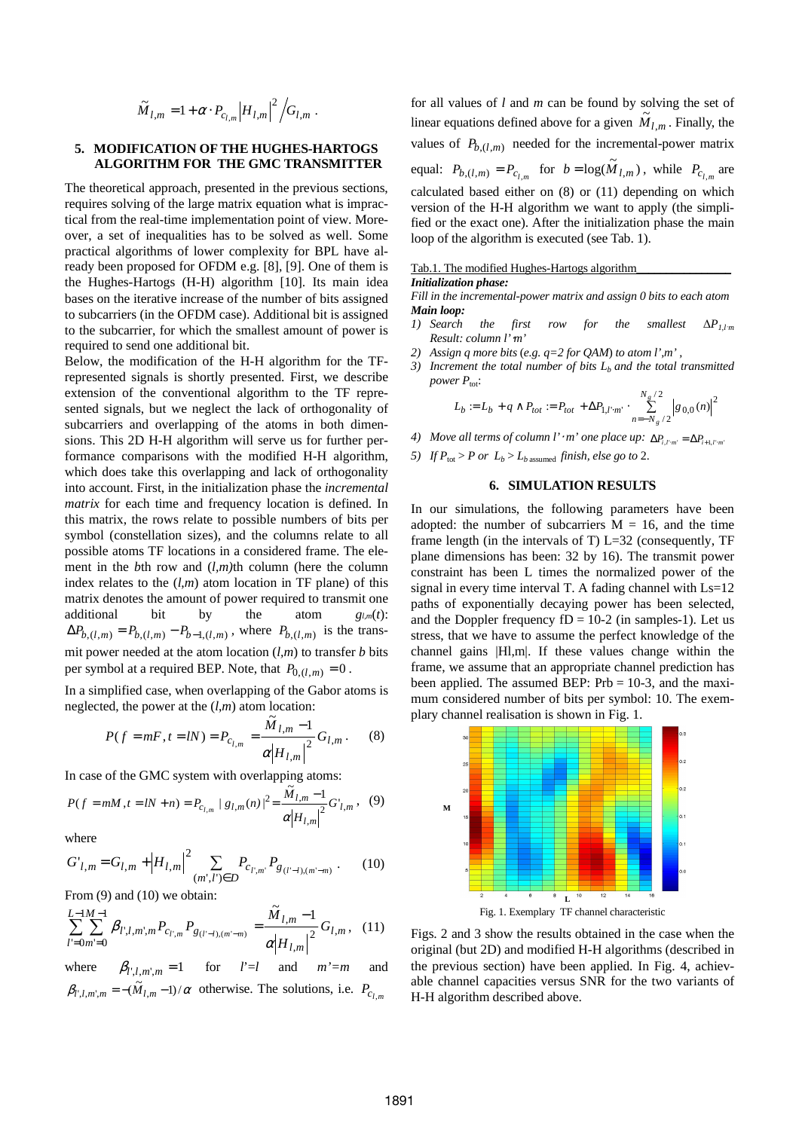$$
\widetilde{M}_{l,m} = 1 + \alpha \cdot P_{c_{l,m}} |H_{l,m}|^2 / G_{l,m}.
$$

# **5. MODIFICATION OF THE HUGHES-HARTOGS ALGORITHM FOR THE GMC TRANSMITTER**

The theoretical approach, presented in the previous sections, requires solving of the large matrix equation what is impractical from the real-time implementation point of view. Moreover, a set of inequalities has to be solved as well. Some practical algorithms of lower complexity for BPL have already been proposed for OFDM e.g. [8], [9]. One of them is the Hughes-Hartogs (H-H) algorithm [10]. Its main idea bases on the iterative increase of the number of bits assigned to subcarriers (in the OFDM case). Additional bit is assigned to the subcarrier, for which the smallest amount of power is required to send one additional bit.

Below, the modification of the H-H algorithm for the TFrepresented signals is shortly presented. First, we describe extension of the conventional algorithm to the TF represented signals, but we neglect the lack of orthogonality of subcarriers and overlapping of the atoms in both dimensions. This 2D H-H algorithm will serve us for further performance comparisons with the modified H-H algorithm, which does take this overlapping and lack of orthogonality into account. First, in the initialization phase the *incremental matrix* for each time and frequency location is defined. In this matrix, the rows relate to possible numbers of bits per symbol (constellation sizes), and the columns relate to all possible atoms TF locations in a considered frame. The element in the *b*th row and (*l,m)*th column (here the column index relates to the (*l*,*m*) atom location in TF plane) of this matrix denotes the amount of power required to transmit one additional bit by the atom  $g_{l,m}(t)$ :  $\Delta P_{b,(l,m)} = P_{b,(l,m)} - P_{b-1,(l,m)}$ , where  $P_{b,(l,m)}$  is the transmit power needed at the atom location (*l,m*) to transfer *b* bits per symbol at a required BEP. Note, that  $P_{0,(l,m)} = 0$ .

In a simplified case, when overlapping of the Gabor atoms is neglected, the power at the  $(l,m)$  atom location:

$$
P(f = mF, t = lN) = P_{c_{l,m}} = \frac{M_{l,m} - 1}{\alpha |H_{l,m}|^2} G_{l,m}.
$$
 (8)

In case of the GMC system with overlapping atoms:

$$
P(f = mM, t = lN + n) = P_{c_{l,m}} |g_{l,m}(n)|^2 = \frac{\widetilde{M}_{l,m} - 1}{\alpha |H_{l,m}|^2} G'_{l,m}, \quad (9)
$$

where

$$
G'_{l,m} = G_{l,m} + |H_{l,m}|^2 \sum_{(m',l') \in D} P_{c_{l',m'}} P_{g_{(l'-l),(m'-m)}}.
$$
 (10)

From  $(9)$  and  $(10)$  we obtain:

$$
\sum_{l=0m=0}^{L-1} \sum_{m=0}^{M-1} \beta_{l',l,m',m} P_{c_{l',m}} P_{g_{(l'-l),(m'-m)}} = \frac{\tilde{M}_{l,m}-1}{\alpha |H_{l,m}|^2} G_{l,m}, \quad (11)
$$

where  $\beta_{l',l,m',m} = 1$  for  $l'=l$  and  $m'=m$  and  $\beta_{l',l,m',m} = -(\tilde{M}_{l,m} - 1)/\alpha$  otherwise. The solutions, i.e.  $P_{c_{l,m}}$ 

for all values of *l* and *m* can be found by solving the set of linear equations defined above for a given  $\widetilde{M}_{l,m}$ . Finally, the values of  $P_{b,(l,m)}$  needed for the incremental-power matrix equal:  $P_{b,(l,m)} = P_{c_{l,m}}$  for  $b = \log(\widetilde{M}_{l,m})$ , while  $P_{c_{l,m}}$  are calculated based either on (8) or (11) depending on which version of the H-H algorithm we want to apply (the simplified or the exact one). After the initialization phase the main loop of the algorithm is executed (see Tab. 1).

# Tab.1. The modified Hughes-Hartogs algorithm\_\_\_\_\_\_\_\_\_\_\_\_\_\_\_\_

### *Initialization phase:*

*Fill in the incremental-power matrix and assign 0 bits to each atom Main loop:* 

- *1) Search the first row for the smallest*  $\Delta P_{l,lm}$ *Result: column l'*⋅*m'*
- *2) Assign q more bits* (*e.g. q=2 for QAM*) *to atom l',m' ,*
- *3) Increment the total number of bits Lb and the total transmitted power*  $P_{\text{tot}}$ :

$$
L_b := L_b + q \wedge P_{tot} := P_{tot} + \Delta P_{1,l'm'} \cdot \sum_{n=-N_g/2}^{N_g/2} |g_{0,0}(n)|^2
$$

- *4) Move all terms of column*  $l' \cdot m'$  *one place up:*  $\Delta P_{i,l':m'} = \Delta P_{i+1,l'm'}$
- *5) If*  $P_{\text{tot}} > P$  *or*  $L_b > L_b$  assumed *finish, else go to* 2.

# **6. SIMULATION RESULTS**

In our simulations, the following parameters have been adopted: the number of subcarriers  $M = 16$ , and the time frame length (in the intervals of T)  $L=32$  (consequently, TF plane dimensions has been: 32 by 16). The transmit power constraint has been L times the normalized power of the signal in every time interval T. A fading channel with Ls=12 paths of exponentially decaying power has been selected, and the Doppler frequency  $fD = 10-2$  (in samples-1). Let us stress, that we have to assume the perfect knowledge of the channel gains |Hl,m|. If these values change within the frame, we assume that an appropriate channel prediction has been applied. The assumed BEP: Prb = 10-3, and the maximum considered number of bits per symbol: 10. The exemplary channel realisation is shown in Fig. 1.



Figs. 2 and 3 show the results obtained in the case when the original (but 2D) and modified H-H algorithms (described in the previous section) have been applied. In Fig. 4, achievable channel capacities versus SNR for the two variants of H-H algorithm described above.